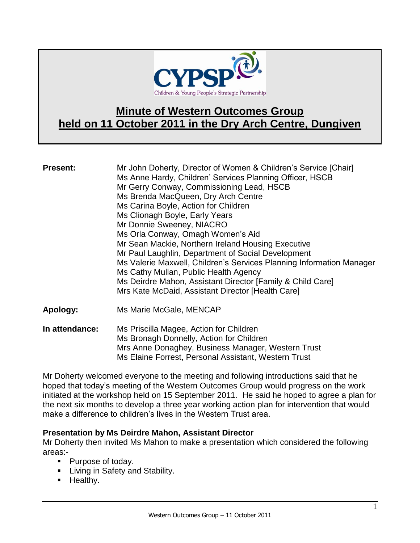

# **Minute of Western Outcomes Group held on 11 October 2011 in the Dry Arch Centre, Dungiven**

| <b>Present:</b> | Mr John Doherty, Director of Women & Children's Service [Chair]<br>Ms Anne Hardy, Children' Services Planning Officer, HSCB<br>Mr Gerry Conway, Commissioning Lead, HSCB<br>Ms Brenda MacQueen, Dry Arch Centre<br>Ms Carina Boyle, Action for Children<br>Ms Clionagh Boyle, Early Years<br>Mr Donnie Sweeney, NIACRO<br>Ms Orla Conway, Omagh Women's Aid<br>Mr Sean Mackie, Northern Ireland Housing Executive<br>Mr Paul Laughlin, Department of Social Development<br>Ms Valerie Maxwell, Children's Services Planning Information Manager<br>Ms Cathy Mullan, Public Health Agency<br>Ms Deirdre Mahon, Assistant Director [Family & Child Care]<br>Mrs Kate McDaid, Assistant Director [Health Care] |
|-----------------|-------------------------------------------------------------------------------------------------------------------------------------------------------------------------------------------------------------------------------------------------------------------------------------------------------------------------------------------------------------------------------------------------------------------------------------------------------------------------------------------------------------------------------------------------------------------------------------------------------------------------------------------------------------------------------------------------------------|
| Apology:        | Ms Marie McGale, MENCAP                                                                                                                                                                                                                                                                                                                                                                                                                                                                                                                                                                                                                                                                                     |

**In attendance:** Ms Priscilla Magee, Action for Children Ms Bronagh Donnelly, Action for Children Mrs Anne Donaghey, Business Manager, Western Trust Ms Elaine Forrest, Personal Assistant, Western Trust

Mr Doherty welcomed everyone to the meeting and following introductions said that he hoped that today's meeting of the Western Outcomes Group would progress on the work initiated at the workshop held on 15 September 2011. He said he hoped to agree a plan for the next six months to develop a three year working action plan for intervention that would make a difference to children's lives in the Western Trust area.

## **Presentation by Ms Deirdre Mahon, Assistant Director**

Mr Doherty then invited Ms Mahon to make a presentation which considered the following areas:-

- Purpose of today.
- **E** Living in Safety and Stability.
- **Healthy.**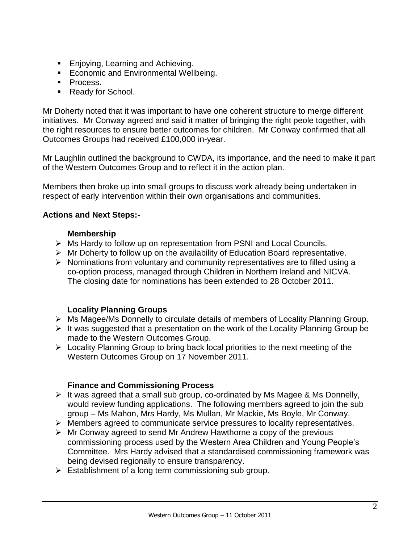- **Enjoying, Learning and Achieving.**
- **Economic and Environmental Wellbeing.**
- Process.
- Ready for School.

Mr Doherty noted that it was important to have one coherent structure to merge different initiatives. Mr Conway agreed and said it matter of bringing the right peole together, with the right resources to ensure better outcomes for children. Mr Conway confirmed that all Outcomes Groups had received £100,000 in-year.

Mr Laughlin outlined the background to CWDA, its importance, and the need to make it part of the Western Outcomes Group and to reflect it in the action plan.

Members then broke up into small groups to discuss work already being undertaken in respect of early intervention within their own organisations and communities.

## **Actions and Next Steps:-**

## **Membership**

- Ms Hardy to follow up on representation from PSNI and Local Councils.
- $\triangleright$  Mr Doherty to follow up on the availability of Education Board representative.
- $\triangleright$  Nominations from voluntary and community representatives are to filled using a co-option process, managed through Children in Northern Ireland and NICVA. The closing date for nominations has been extended to 28 October 2011.

## **Locality Planning Groups**

- Ms Magee/Ms Donnelly to circulate details of members of Locality Planning Group.
- $\triangleright$  It was suggested that a presentation on the work of the Locality Planning Group be made to the Western Outcomes Group.
- $\triangleright$  Locality Planning Group to bring back local priorities to the next meeting of the Western Outcomes Group on 17 November 2011.

## **Finance and Commissioning Process**

- $\triangleright$  It was agreed that a small sub group, co-ordinated by Ms Magee & Ms Donnelly, would review funding applications. The following members agreed to join the sub group – Ms Mahon, Mrs Hardy, Ms Mullan, Mr Mackie, Ms Boyle, Mr Conway.
- Members agreed to communicate service pressures to locality representatives.
- $\triangleright$  Mr Conway agreed to send Mr Andrew Hawthorne a copy of the previous commissioning process used by the Western Area Children and Young People's Committee. Mrs Hardy advised that a standardised commissioning framework was being devised regionally to ensure transparency.
- $\triangleright$  Establishment of a long term commissioning sub group.